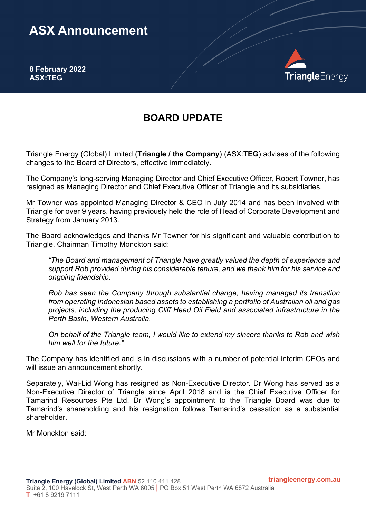## **ASX Announcement**

**8 February 2022 ASX:TEG**



## **BOARD UPDATE**

Triangle Energy (Global) Limited (**Triangle / the Company**) (ASX:**TEG**) advises of the following changes to the Board of Directors, effective immediately.

The Company's long-serving Managing Director and Chief Executive Officer, Robert Towner, has resigned as Managing Director and Chief Executive Officer of Triangle and its subsidiaries.

Mr Towner was appointed Managing Director & CEO in July 2014 and has been involved with Triangle for over 9 years, having previously held the role of Head of Corporate Development and Strategy from January 2013.

The Board acknowledges and thanks Mr Towner for his significant and valuable contribution to Triangle. Chairman Timothy Monckton said:

*"The Board and management of Triangle have greatly valued the depth of experience and support Rob provided during his considerable tenure, and we thank him for his service and ongoing friendship.* 

*Rob has seen the Company through substantial change, having managed its transition from operating Indonesian based assets to establishing a portfolio of Australian oil and gas projects, including the producing Cliff Head Oil Field and associated infrastructure in the Perth Basin, Western Australia.*

*On behalf of the Triangle team, I would like to extend my sincere thanks to Rob and wish him well for the future."*

The Company has identified and is in discussions with a number of potential interim CEOs and will issue an announcement shortly.

Separately, Wai-Lid Wong has resigned as Non-Executive Director. Dr Wong has served as a Non-Executive Director of Triangle since April 2018 and is the Chief Executive Officer for Tamarind Resources Pte Ltd. Dr Wong's appointment to the Triangle Board was due to Tamarind's shareholding and his resignation follows Tamarind's cessation as a substantial shareholder.

Mr Monckton said: